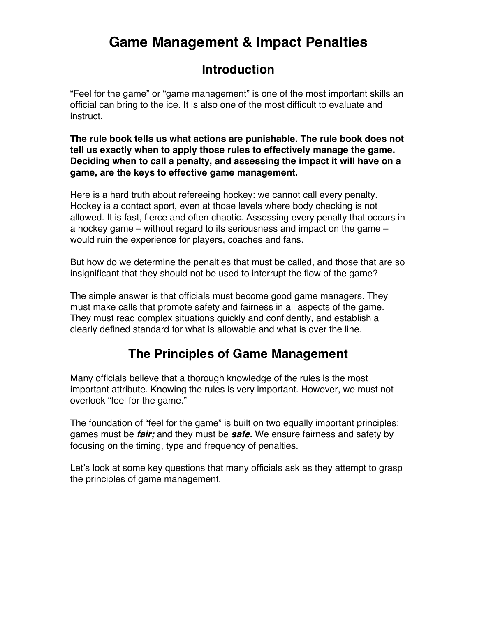# **Game Management & Impact Penalties**

### **Introduction**

"Feel for the game" or "game management" is one of the most important skills an official can bring to the ice. It is also one of the most difficult to evaluate and instruct.

**The rule book tells us what actions are punishable. The rule book does not tell us exactly when to apply those rules to effectively manage the game. Deciding when to call a penalty, and assessing the impact it will have on a game, are the keys to effective game management.**

Here is a hard truth about refereeing hockey: we cannot call every penalty. Hockey is a contact sport, even at those levels where body checking is not allowed. It is fast, fierce and often chaotic. Assessing every penalty that occurs in a hockey game – without regard to its seriousness and impact on the game – would ruin the experience for players, coaches and fans.

But how do we determine the penalties that must be called, and those that are so insignificant that they should not be used to interrupt the flow of the game?

The simple answer is that officials must become good game managers. They must make calls that promote safety and fairness in all aspects of the game. They must read complex situations quickly and confidently, and establish a clearly defined standard for what is allowable and what is over the line.

## **The Principles of Game Management**

Many officials believe that a thorough knowledge of the rules is the most important attribute. Knowing the rules is very important. However, we must not overlook "feel for the game."

The foundation of "feel for the game" is built on two equally important principles: games must be *fair;* and they must be *safe.* We ensure fairness and safety by focusing on the timing, type and frequency of penalties.

Let's look at some key questions that many officials ask as they attempt to grasp the principles of game management.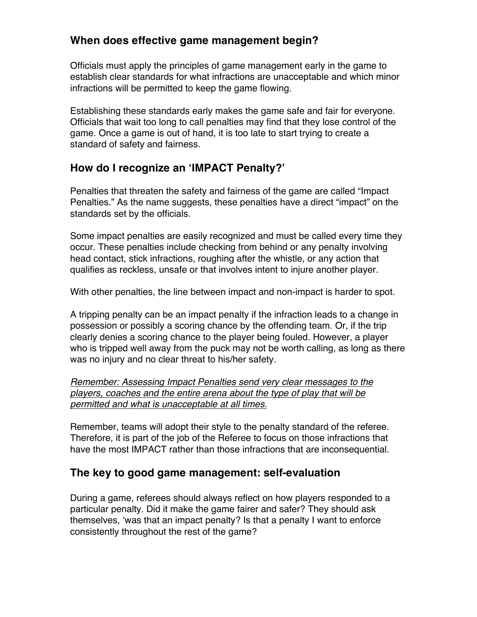#### **When does effective game management begin?**

Officials must apply the principles of game management early in the game to establish clear standards for what infractions are unacceptable and which minor infractions will be permitted to keep the game flowing.

Establishing these standards early makes the game safe and fair for everyone. Officials that wait too long to call penalties may find that they lose control of the game. Once a game is out of hand, it is too late to start trying to create a standard of safety and fairness.

### **How do I recognize an 'IMPACT Penalty?'**

Penalties that threaten the safety and fairness of the game are called "Impact Penalties." As the name suggests, these penalties have a direct "impact" on the standards set by the officials.

Some impact penalties are easily recognized and must be called every time they occur. These penalties include checking from behind or any penalty involving head contact, stick infractions, roughing after the whistle, or any action that qualifies as reckless, unsafe or that involves intent to injure another player.

With other penalties, the line between impact and non-impact is harder to spot.

A tripping penalty can be an impact penalty if the infraction leads to a change in possession or possibly a scoring chance by the offending team. Or, if the trip clearly denies a scoring chance to the player being fouled. However, a player who is tripped well away from the puck may not be worth calling, as long as there was no injury and no clear threat to his/her safety.

#### *Remember: Assessing Impact Penalties send very clear messages to the players, coaches and the entire arena about the type of play that will be permitted and what is unacceptable at all times.*

Remember, teams will adopt their style to the penalty standard of the referee. Therefore, it is part of the job of the Referee to focus on those infractions that have the most IMPACT rather than those infractions that are inconsequential.

#### **The key to good game management: self-evaluation**

During a game, referees should always reflect on how players responded to a particular penalty. Did it make the game fairer and safer? They should ask themselves, 'was that an impact penalty? Is that a penalty I want to enforce consistently throughout the rest of the game?